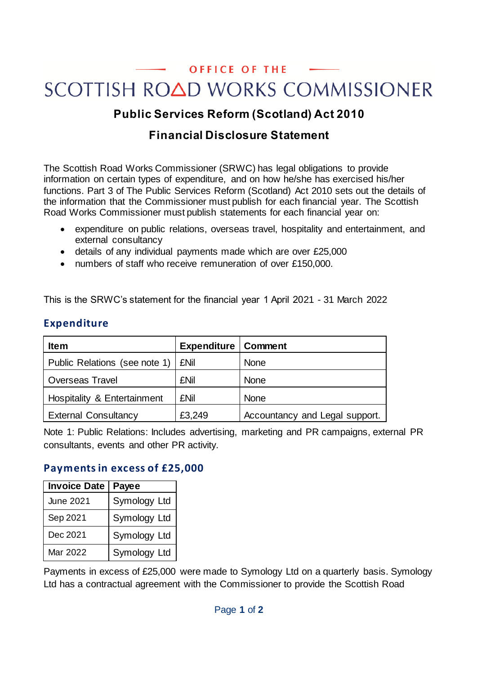# OFFICE OF THE SCOTTISH ROAD WORKS COMMISSIONER

## **Public Services Reform (Scotland) Act 2010**

## **Financial Disclosure Statement**

The Scottish Road Works Commissioner (SRWC) has legal obligations to provide information on certain types of expenditure, and on how he/she has exercised his/her functions. Part 3 of The Public Services Reform (Scotland) Act 2010 sets out the details of the information that the Commissioner must publish for each financial year. The Scottish Road Works Commissioner must publish statements for each financial year on:

- expenditure on public relations, overseas travel, hospitality and entertainment, and external consultancy
- details of any individual payments made which are over £25,000
- numbers of staff who receive remuneration of over £150,000.

This is the SRWC's statement for the financial year 1 April 2021 - 31 March 2022

| <b>Expenditure</b> |  |
|--------------------|--|
|--------------------|--|

| <b>Item</b>                            | <b>Expenditure   Comment</b> |                                |
|----------------------------------------|------------------------------|--------------------------------|
| Public Relations (see note 1)          | <b>£Nil</b>                  | <b>None</b>                    |
| <b>Overseas Travel</b>                 | <b>£Nil</b>                  | <b>None</b>                    |
| <b>Hospitality &amp; Entertainment</b> | <b>£Nil</b>                  | <b>None</b>                    |
| <b>External Consultancy</b>            | £3,249                       | Accountancy and Legal support. |

Note 1: Public Relations: Includes advertising, marketing and PR campaigns, external PR consultants, events and other PR activity.

#### **Payments in excess of £25,000**

| <b>Invoice Date</b> | Payee        |
|---------------------|--------------|
| June 2021           | Symology Ltd |
| Sep 2021            | Symology Ltd |
| Dec 2021            | Symology Ltd |
| Mar 2022            | Symology Ltd |

Payments in excess of £25,000 were made to Symology Ltd on a quarterly basis. Symology Ltd has a contractual agreement with the Commissioner to provide the Scottish Road